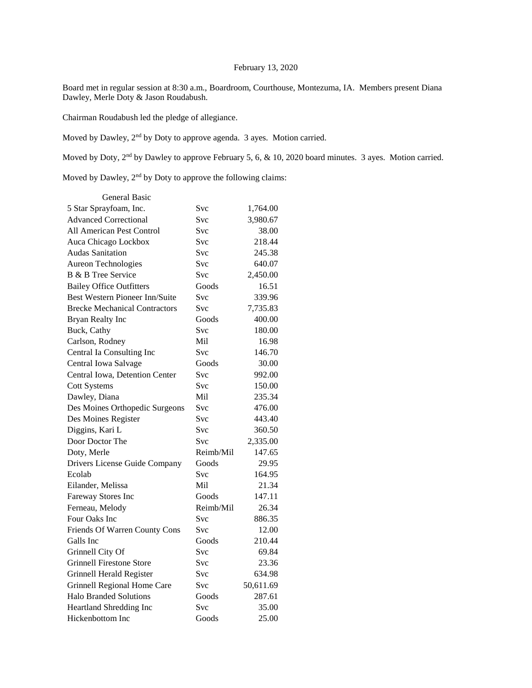## February 13, 2020

Board met in regular session at 8:30 a.m., Boardroom, Courthouse, Montezuma, IA. Members present Diana Dawley, Merle Doty & Jason Roudabush.

Chairman Roudabush led the pledge of allegiance.

Moved by Dawley, 2nd by Doty to approve agenda. 3 ayes. Motion carried.

Moved by Doty, 2<sup>nd</sup> by Dawley to approve February 5, 6, & 10, 2020 board minutes. 3 ayes. Motion carried.

Moved by Dawley, 2<sup>nd</sup> by Doty to approve the following claims:

| General Basic                         |            |           |
|---------------------------------------|------------|-----------|
| 5 Star Sprayfoam, Inc.                | Svc        | 1,764.00  |
| <b>Advanced Correctional</b>          | Svc        | 3,980.67  |
| All American Pest Control             | Svc        | 38.00     |
| Auca Chicago Lockbox                  | Svc        | 218.44    |
| <b>Audas Sanitation</b>               | Svc        | 245.38    |
| Aureon Technologies                   | Svc        | 640.07    |
| B & B Tree Service                    | Svc        | 2,450.00  |
| <b>Bailey Office Outfitters</b>       | Goods      | 16.51     |
| <b>Best Western Pioneer Inn/Suite</b> | Svc        | 339.96    |
| <b>Brecke Mechanical Contractors</b>  | Svc        | 7,735.83  |
| Bryan Realty Inc                      | Goods      | 400.00    |
| Buck, Cathy                           | Svc        | 180.00    |
| Carlson, Rodney                       | Mil        | 16.98     |
| Central Ia Consulting Inc             | Svc        | 146.70    |
| Central Iowa Salvage                  | Goods      | 30.00     |
| Central Iowa, Detention Center        | Svc        | 992.00    |
| <b>Cott Systems</b>                   | Svc        | 150.00    |
| Dawley, Diana                         | Mil        | 235.34    |
| Des Moines Orthopedic Surgeons        | Svc        | 476.00    |
| Des Moines Register                   | <b>Svc</b> | 443.40    |
| Diggins, Kari L                       | <b>Svc</b> | 360.50    |
| Door Doctor The                       | Svc        | 2,335.00  |
| Doty, Merle                           | Reimb/Mil  | 147.65    |
| Drivers License Guide Company         | Goods      | 29.95     |
| Ecolab                                | Svc        | 164.95    |
| Eilander, Melissa                     | Mil        | 21.34     |
| Fareway Stores Inc                    | Goods      | 147.11    |
| Ferneau, Melody                       | Reimb/Mil  | 26.34     |
| Four Oaks Inc                         | Svc        | 886.35    |
| Friends Of Warren County Cons         | Svc        | 12.00     |
| Galls Inc                             | Goods      | 210.44    |
| Grinnell City Of                      | Svc        | 69.84     |
| <b>Grinnell Firestone Store</b>       | Svc        | 23.36     |
| Grinnell Herald Register              | Svc        | 634.98    |
| Grinnell Regional Home Care           | <b>Svc</b> | 50,611.69 |
| <b>Halo Branded Solutions</b>         | Goods      | 287.61    |
| Heartland Shredding Inc               | Svc        | 35.00     |
| Hickenbottom Inc                      | Goods      | 25.00     |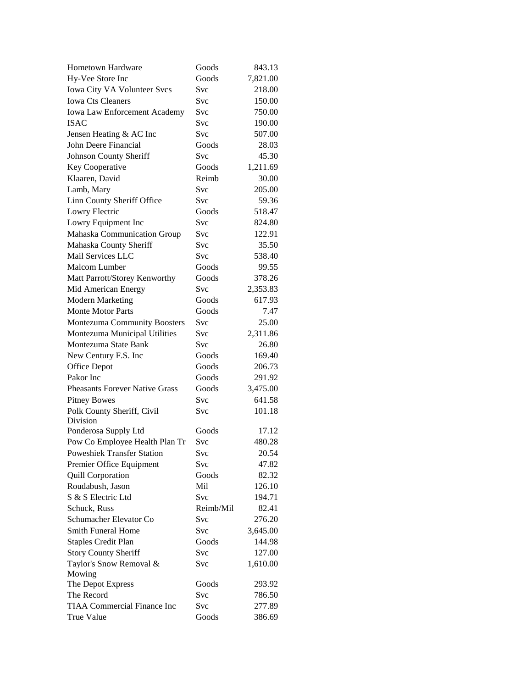| Hometown Hardware                     | Goods      | 843.13          |
|---------------------------------------|------------|-----------------|
| Hy-Vee Store Inc                      | Goods      | 7,821.00        |
| Iowa City VA Volunteer Svcs           | Svc        | 218.00          |
| <b>Iowa Cts Cleaners</b>              | Svc        | 150.00          |
| Iowa Law Enforcement Academy          | Svc        | 750.00          |
| <b>ISAC</b>                           | Svc        | 190.00          |
| Jensen Heating & AC Inc               | Svc        | 507.00          |
| John Deere Financial                  | Goods      | 28.03           |
| Johnson County Sheriff                | Svc        | 45.30           |
| Key Cooperative                       | Goods      | 1,211.69        |
| Klaaren, David                        | Reimb      | 30.00           |
| Lamb, Mary                            | Svc        | 205.00          |
| Linn County Sheriff Office            | Svc        | 59.36           |
| Lowry Electric                        | Goods      | 518.47          |
|                                       | Svc        | 824.80          |
| Lowry Equipment Inc                   | <b>Svc</b> |                 |
| Mahaska Communication Group           | <b>Svc</b> | 122.91<br>35.50 |
| Mahaska County Sheriff                |            |                 |
| Mail Services LLC                     | Svc        | 538.40          |
| Malcom Lumber                         | Goods      | 99.55           |
| Matt Parrott/Storey Kenworthy         | Goods      | 378.26          |
| Mid American Energy                   | Svc        | 2,353.83        |
| <b>Modern Marketing</b>               | Goods      | 617.93          |
| <b>Monte Motor Parts</b>              | Goods      | 7.47            |
| Montezuma Community Boosters          | Svc        | 25.00           |
| Montezuma Municipal Utilities         | Svc        | 2,311.86        |
| Montezuma State Bank                  | Svc        | 26.80           |
| New Century F.S. Inc                  | Goods      | 169.40          |
| Office Depot                          | Goods      | 206.73          |
| Pakor Inc                             | Goods      | 291.92          |
| <b>Pheasants Forever Native Grass</b> | Goods      | 3,475.00        |
| <b>Pitney Bowes</b>                   | Svc        | 641.58          |
| Polk County Sheriff, Civil            | Svc        | 101.18          |
| Division                              |            |                 |
| Ponderosa Supply Ltd                  | Goods      | 17.12           |
| Pow Co Employee Health Plan Tr        | Svc        | 480.28          |
| <b>Poweshiek Transfer Station</b>     | Svc        | 20.54           |
| Premier Office Equipment              | Svc        | 47.82           |
| <b>Quill Corporation</b>              | Goods      | 82.32           |
| Roudabush, Jason                      | Mil        | 126.10          |
| S & S Electric Ltd                    | Svc        | 194.71          |
| Schuck, Russ                          | Reimb/Mil  | 82.41           |
| Schumacher Elevator Co                | <b>Svc</b> | 276.20          |
| Smith Funeral Home                    | <b>Svc</b> | 3,645.00        |
| <b>Staples Credit Plan</b>            | Goods      | 144.98          |
| <b>Story County Sheriff</b>           | Svc        | 127.00          |
| Taylor's Snow Removal &               | Svc        | 1,610.00        |
| Mowing                                |            |                 |
| The Depot Express                     | Goods      | 293.92          |
| The Record                            | Svc        | 786.50          |
| <b>TIAA Commercial Finance Inc</b>    | Svc        | 277.89          |
| True Value                            | Goods      | 386.69          |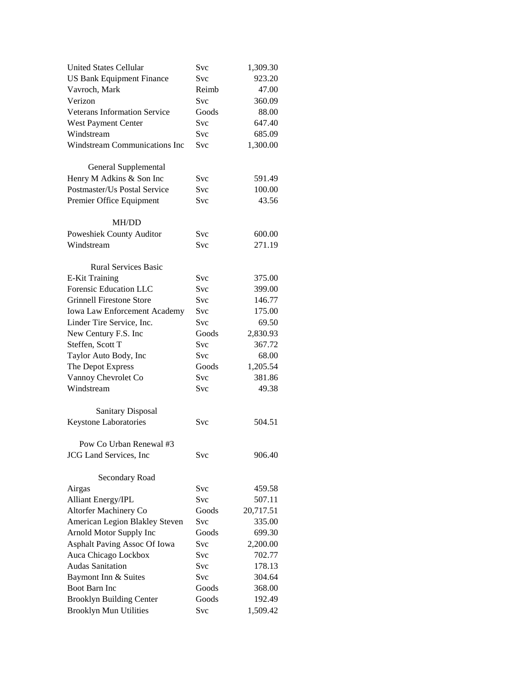| <b>United States Cellular</b>        | Svc        | 1,309.30  |
|--------------------------------------|------------|-----------|
| <b>US Bank Equipment Finance</b>     | <b>Svc</b> | 923.20    |
| Vavroch, Mark                        | Reimb      | 47.00     |
| Verizon                              | Svc        | 360.09    |
| <b>Veterans Information Service</b>  | Goods      | 88.00     |
| West Payment Center                  | <b>Svc</b> | 647.40    |
| Windstream                           | <b>Svc</b> | 685.09    |
| <b>Windstream Communications Inc</b> | <b>Svc</b> | 1,300.00  |
|                                      |            |           |
| General Supplemental                 |            |           |
| Henry M Adkins & Son Inc             | <b>Svc</b> | 591.49    |
| Postmaster/Us Postal Service         | <b>Svc</b> | 100.00    |
| Premier Office Equipment             | Svc        | 43.56     |
|                                      |            |           |
| <b>MH/DD</b>                         |            |           |
| Poweshiek County Auditor             | Svc        | 600.00    |
| Windstream                           | <b>Svc</b> | 271.19    |
|                                      |            |           |
| <b>Rural Services Basic</b>          |            |           |
| <b>E-Kit Training</b>                | Svc        | 375.00    |
| Forensic Education LLC               | Svc        | 399.00    |
| <b>Grinnell Firestone Store</b>      | <b>Svc</b> | 146.77    |
| Iowa Law Enforcement Academy         | <b>Svc</b> | 175.00    |
| Linder Tire Service, Inc.            | Svc        | 69.50     |
| New Century F.S. Inc                 | Goods      | 2,830.93  |
| Steffen, Scott T                     | <b>Svc</b> | 367.72    |
| Taylor Auto Body, Inc                | <b>Svc</b> | 68.00     |
| The Depot Express                    | Goods      | 1,205.54  |
| Vannoy Chevrolet Co                  | <b>Svc</b> | 381.86    |
| Windstream                           | <b>Svc</b> | 49.38     |
|                                      |            |           |
| <b>Sanitary Disposal</b>             |            |           |
| Keystone Laboratories                | Svc        | 504.51    |
|                                      |            |           |
| Pow Co Urban Renewal #3              |            |           |
| JCG Land Services, Inc               | Svc        | 906.40    |
|                                      |            |           |
| Secondary Road                       |            |           |
| Airgas                               | Svc        | 459.58    |
| <b>Alliant Energy/IPL</b>            | <b>Svc</b> | 507.11    |
| Altorfer Machinery Co                | Goods      | 20,717.51 |
| American Legion Blakley Steven       | Svc        | 335.00    |
| Arnold Motor Supply Inc              | Goods      | 699.30    |
| <b>Asphalt Paving Assoc Of Iowa</b>  | <b>Svc</b> | 2,200.00  |
| Auca Chicago Lockbox                 | <b>Svc</b> | 702.77    |
| <b>Audas Sanitation</b>              | <b>Svc</b> | 178.13    |
| Baymont Inn & Suites                 | <b>Svc</b> | 304.64    |
| <b>Boot Barn Inc</b>                 | Goods      | 368.00    |
| <b>Brooklyn Building Center</b>      | Goods      | 192.49    |
| <b>Brooklyn Mun Utilities</b>        | Svc        | 1,509.42  |
|                                      |            |           |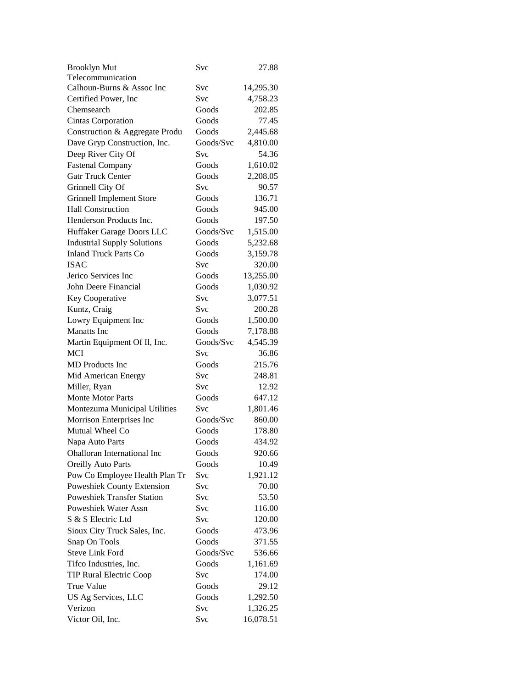| <b>Brooklyn Mut</b>                | Svc        | 27.88     |
|------------------------------------|------------|-----------|
| Telecommunication                  |            |           |
| Calhoun-Burns & Assoc Inc          | Svc        | 14,295.30 |
| Certified Power, Inc.              | Svc        | 4,758.23  |
| Chemsearch                         | Goods      | 202.85    |
| Cintas Corporation                 | Goods      | 77.45     |
| Construction & Aggregate Produ     | Goods      | 2,445.68  |
| Dave Gryp Construction, Inc.       | Goods/Svc  | 4,810.00  |
| Deep River City Of                 | Svc        | 54.36     |
| <b>Fastenal Company</b>            | Goods      | 1,610.02  |
| <b>Gatr Truck Center</b>           | Goods      | 2,208.05  |
| Grinnell City Of                   | Svc        | 90.57     |
| <b>Grinnell Implement Store</b>    | Goods      | 136.71    |
| <b>Hall Construction</b>           | Goods      | 945.00    |
| Henderson Products Inc.            | Goods      | 197.50    |
| Huffaker Garage Doors LLC          | Goods/Svc  | 1,515.00  |
| <b>Industrial Supply Solutions</b> | Goods      | 5,232.68  |
| <b>Inland Truck Parts Co</b>       | Goods      | 3,159.78  |
| <b>ISAC</b>                        | Svc        | 320.00    |
| Jerico Services Inc                | Goods      | 13,255.00 |
| John Deere Financial               | Goods      |           |
|                                    | Svc        | 1,030.92  |
| Key Cooperative                    | <b>Svc</b> | 3,077.51  |
| Kuntz, Craig                       |            | 200.28    |
| Lowry Equipment Inc                | Goods      | 1,500.00  |
| <b>Manatts</b> Inc                 | Goods      | 7,178.88  |
| Martin Equipment Of Il, Inc.       | Goods/Svc  | 4,545.39  |
| <b>MCI</b>                         | Svc        | 36.86     |
| <b>MD</b> Products Inc             | Goods      | 215.76    |
| Mid American Energy                | Svc        | 248.81    |
| Miller, Ryan                       | Svc        | 12.92     |
| <b>Monte Motor Parts</b>           | Goods      | 647.12    |
| Montezuma Municipal Utilities      | Svc        | 1,801.46  |
| Morrison Enterprises Inc           | Goods/Svc  | 860.00    |
| Mutual Wheel Co                    | Goods      | 178.80    |
| Napa Auto Parts                    | Goods      | 434.92    |
| Ohalloran International Inc        | Goods      | 920.66    |
| <b>Oreilly Auto Parts</b>          | Goods      | 10.49     |
| Pow Co Employee Health Plan Tr     | Svc        | 1,921.12  |
| Poweshiek County Extension         | Svc        | 70.00     |
| <b>Poweshiek Transfer Station</b>  | Svc        | 53.50     |
| Poweshiek Water Assn               | Svc        | 116.00    |
| S & S Electric Ltd                 | Svc        | 120.00    |
| Sioux City Truck Sales, Inc.       | Goods      | 473.96    |
| Snap On Tools                      | Goods      | 371.55    |
| <b>Steve Link Ford</b>             | Goods/Svc  | 536.66    |
| Tifco Industries, Inc.             | Goods      | 1,161.69  |
| <b>TIP Rural Electric Coop</b>     | Svc        | 174.00    |
| True Value                         | Goods      | 29.12     |
| US Ag Services, LLC                | Goods      | 1,292.50  |
| Verizon                            | Svc        | 1,326.25  |
| Victor Oil, Inc.                   | Svc        | 16,078.51 |
|                                    |            |           |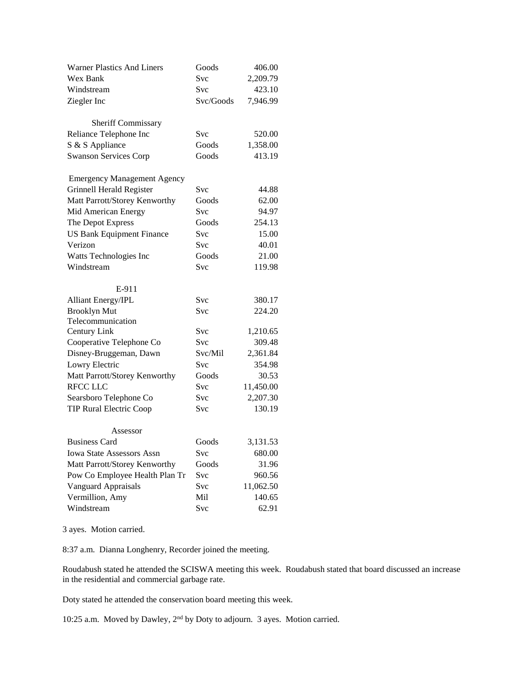| <b>Warner Plastics And Liners</b>  | Goods      | 406.00    |
|------------------------------------|------------|-----------|
| Wex Bank                           | Svc        | 2,209.79  |
| Windstream                         | Svc        | 423.10    |
| Ziegler Inc                        | Svc/Goods  | 7,946.99  |
| Sheriff Commissary                 |            |           |
| Reliance Telephone Inc             | Svc        | 520.00    |
| S & S Appliance                    | Goods      | 1,358.00  |
| <b>Swanson Services Corp</b>       | Goods      | 413.19    |
|                                    |            |           |
| <b>Emergency Management Agency</b> |            |           |
| <b>Grinnell Herald Register</b>    | <b>Svc</b> | 44.88     |
| Matt Parrott/Storey Kenworthy      | Goods      | 62.00     |
| Mid American Energy                | <b>Svc</b> | 94.97     |
| The Depot Express                  | Goods      | 254.13    |
| <b>US Bank Equipment Finance</b>   | Svc        | 15.00     |
| Verizon                            | Svc        | 40.01     |
| Watts Technologies Inc             | Goods      | 21.00     |
| Windstream                         | Svc        | 119.98    |
| E-911                              |            |           |
| <b>Alliant Energy/IPL</b>          | Svc        | 380.17    |
| <b>Brooklyn Mut</b>                | Svc        | 224.20    |
| Telecommunication                  |            |           |
| Century Link                       | <b>Svc</b> | 1,210.65  |
| Cooperative Telephone Co           | <b>Svc</b> | 309.48    |
| Disney-Bruggeman, Dawn             | Svc/Mil    | 2,361.84  |
| Lowry Electric                     | Svc        | 354.98    |
| Matt Parrott/Storey Kenworthy      | Goods      | 30.53     |
| <b>RFCC LLC</b>                    | Svc        | 11,450.00 |
| Searsboro Telephone Co             | <b>Svc</b> | 2,207.30  |
| <b>TIP Rural Electric Coop</b>     | Svc        | 130.19    |
|                                    |            |           |
| Assessor                           |            |           |
| <b>Business Card</b>               | Goods      | 3,131.53  |
| Iowa State Assessors Assn          | <b>Svc</b> | 680.00    |
| Matt Parrott/Storey Kenworthy      | Goods      | 31.96     |
| Pow Co Employee Health Plan Tr     | Svc        | 960.56    |
| Vanguard Appraisals                | Svc        | 11,062.50 |
| Vermillion, Amy                    | Mil        | 140.65    |
| Windstream                         | Svc        | 62.91     |

3 ayes. Motion carried.

8:37 a.m. Dianna Longhenry, Recorder joined the meeting.

Roudabush stated he attended the SCISWA meeting this week. Roudabush stated that board discussed an increase in the residential and commercial garbage rate.

Doty stated he attended the conservation board meeting this week.

10:25 a.m. Moved by Dawley, 2nd by Doty to adjourn. 3 ayes. Motion carried.